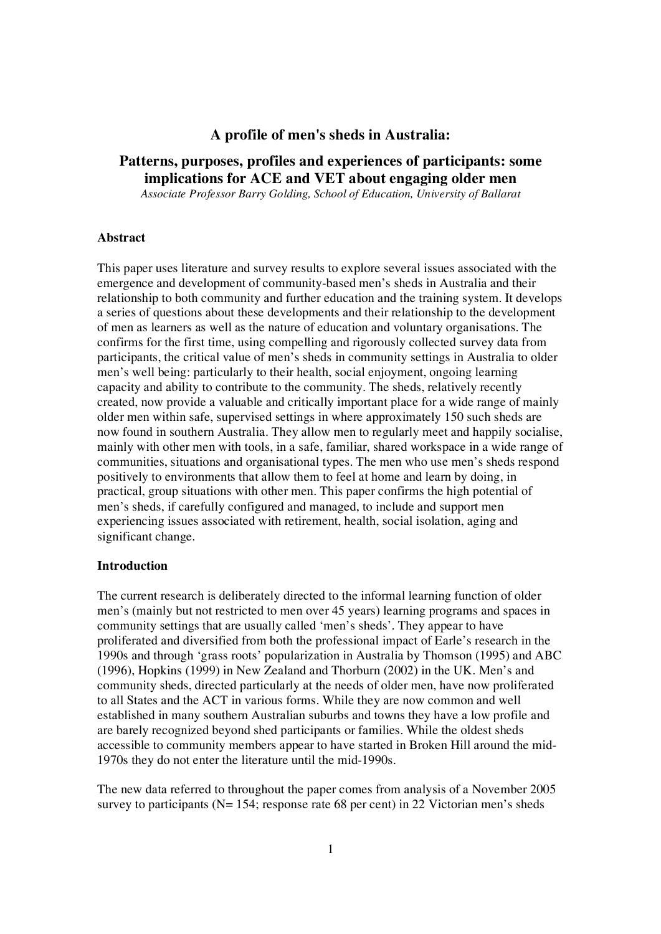# **A profile of men's sheds in Australia:**

# **Patterns, purposes, profiles and experiences of participants: some implications for ACE and VET about engaging older men**

*Associate Professor Barry Golding, School of Education, University of Ballarat*

## **Abstract**

This paper uses literature and survey results to explore several issues associated with the emergence and development of community-based men's sheds in Australia and their relationship to both community and further education and the training system. It develops a series of questions about these developments and their relationship to the development of men as learners as well as the nature of education and voluntary organisations. The confirms for the first time, using compelling and rigorously collected survey data from participants, the critical value of men's sheds in community settings in Australia to older men's well being: particularly to their health, social enjoyment, ongoing learning capacity and ability to contribute to the community. The sheds, relatively recently created, now provide a valuable and critically important place for a wide range of mainly older men within safe, supervised settings in where approximately 150 such sheds are now found in southern Australia. They allow men to regularly meet and happily socialise. mainly with other men with tools, in a safe, familiar, shared workspace in a wide range of communities, situations and organisational types. The men who use men's sheds respond positively to environments that allow them to feel at home and learn by doing, in practical, group situations with other men. This paper confirms the high potential of men's sheds, if carefully configured and managed, to include and support men experiencing issues associated with retirement, health, social isolation, aging and significant change.

#### **Introduction**

The current research is deliberately directed to the informal learning function of older men's (mainly but not restricted to men over 45 years) learning programs and spaces in community settings that are usually called 'men's sheds'. They appear to have proliferated and diversified from both the professional impact of Earle's research in the 1990s and through 'grass roots' popularization in Australia by Thomson (1995) and ABC (1996), Hopkins (1999) in New Zealand and Thorburn (2002) in the UK. Men's and community sheds, directed particularly at the needs of older men, have now proliferated to all States and the ACT in various forms. While they are now common and well established in many southern Australian suburbs and towns they have a low profile and are barely recognized beyond shed participants or families. While the oldest sheds accessible to community members appear to have started in Broken Hill around the mid-1970s they do not enter the literature until the mid-1990s.

The new data referred to throughout the paper comes from analysis of a November 2005 survey to participants ( $N= 154$ ; response rate 68 per cent) in 22 Victorian men's sheds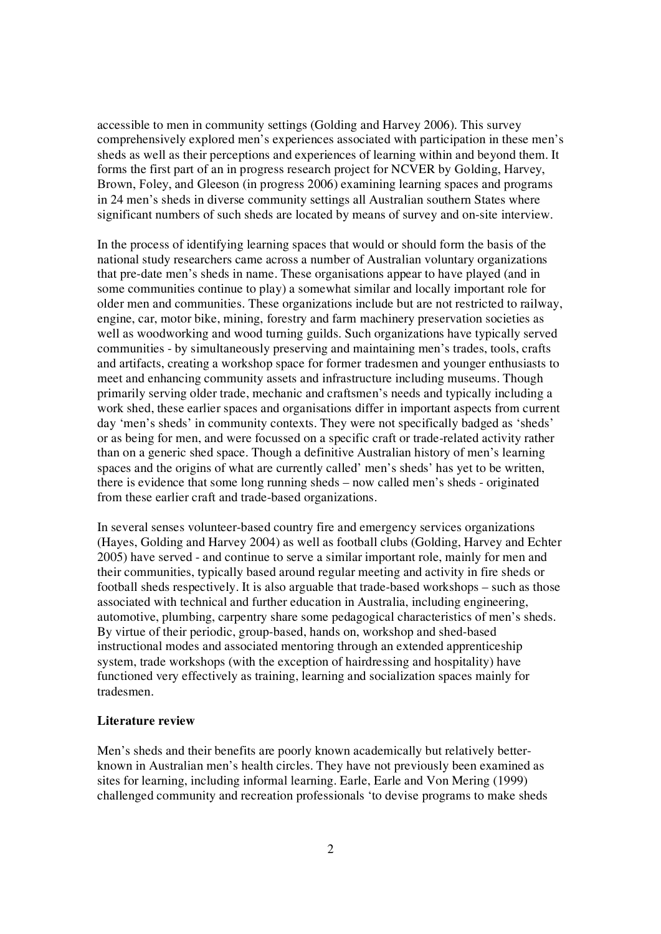accessible to men in community settings (Golding and Harvey 2006). This survey comprehensively explored men's experiences associated with participation in these men's sheds as well as their perceptions and experiences of learning within and beyond them. It forms the first part of an in progress research project for NCVER by Golding, Harvey, Brown, Foley, and Gleeson (in progress 2006) examining learning spaces and programs in 24 men's sheds in diverse community settings all Australian southern States where significant numbers of such sheds are located by means of survey and on-site interview.

In the process of identifying learning spaces that would or should form the basis of the national study researchers came across a number of Australian voluntary organizations that pre-date men's sheds in name. These organisations appear to have played (and in some communities continue to play) a somewhat similar and locally important role for older men and communities. These organizations include but are not restricted to railway, engine, car, motor bike, mining, forestry and farm machinery preservation societies as well as woodworking and wood turning guilds. Such organizations have typically served communities - by simultaneously preserving and maintaining men's trades, tools, crafts and artifacts, creating a workshop space for former tradesmen and younger enthusiasts to meet and enhancing community assets and infrastructure including museums. Though primarily serving older trade, mechanic and craftsmen's needs and typically including a work shed, these earlier spaces and organisations differ in important aspects from current day 'men's sheds' in community contexts. They were not specifically badged as 'sheds' or as being for men, and were focussed on a specific craft or trade-related activity rather than on a generic shed space. Though a definitive Australian history of men's learning spaces and the origins of what are currently called' men's sheds' has yet to be written, there is evidence that some long running sheds – now called men's sheds - originated from these earlier craft and trade-based organizations.

In several senses volunteer-based country fire and emergency services organizations (Hayes, Golding and Harvey 2004) as well as football clubs (Golding, Harvey and Echter 2005) have served - and continue to serve a similar important role, mainly for men and their communities, typically based around regular meeting and activity in fire sheds or football sheds respectively. It is also arguable that trade-based workshops – such as those associated with technical and further education in Australia, including engineering, automotive, plumbing, carpentry share some pedagogical characteristics of men's sheds. By virtue of their periodic, group-based, hands on, workshop and shed-based instructional modes and associated mentoring through an extended apprenticeship system, trade workshops (with the exception of hairdressing and hospitality) have functioned very effectively as training, learning and socialization spaces mainly for tradesmen.

### **Literature review**

Men's sheds and their benefits are poorly known academically but relatively betterknown in Australian men's health circles. They have not previously been examined as sites for learning, including informal learning. Earle, Earle and Von Mering (1999) challenged community and recreation professionals 'to devise programs to make sheds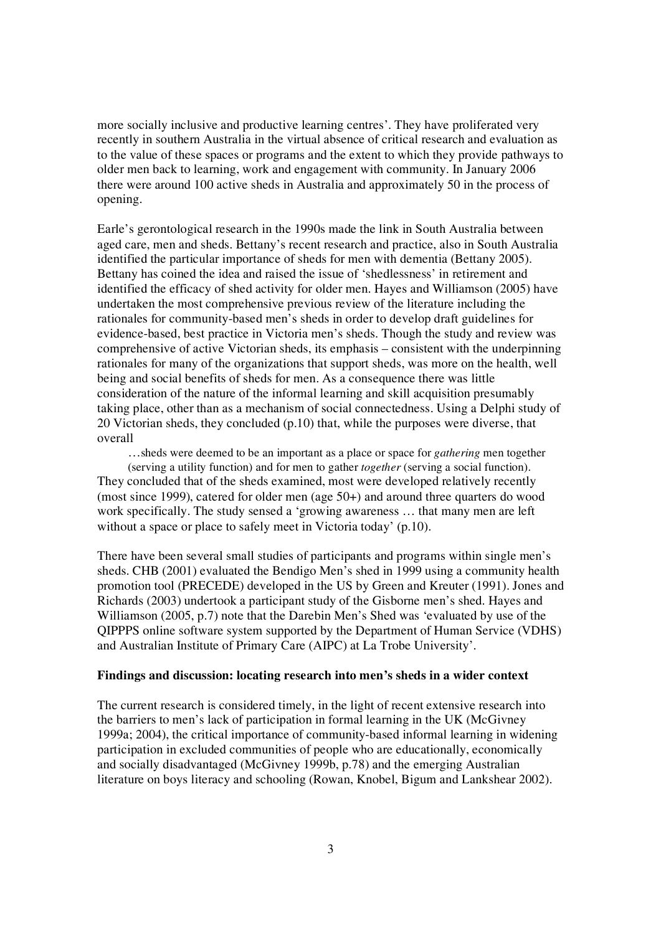more socially inclusive and productive learning centres'. They have proliferated very recently in southern Australia in the virtual absence of critical research and evaluation as to the value of these spaces or programs and the extent to which they provide pathways to older men back to learning, work and engagement with community. In January 2006 there were around 100 active sheds in Australia and approximately 50 in the process of opening.

Earle's gerontological research in the 1990s made the link in South Australia between aged care, men and sheds. Bettany's recent research and practice, also in South Australia identified the particular importance of sheds for men with dementia (Bettany 2005). Bettany has coined the idea and raised the issue of 'shedlessness' in retirement and identified the efficacy of shed activity for older men. Hayes and Williamson (2005) have undertaken the most comprehensive previous review of the literature including the rationales for community-based men's sheds in order to develop draft guidelines for evidence-based, best practice in Victoria men's sheds. Though the study and review was comprehensive of active Victorian sheds, its emphasis – consistent with the underpinning rationales for many of the organizations that support sheds, was more on the health, well being and social benefits of sheds for men. As a consequence there was little consideration of the nature of the informal learning and skill acquisition presumably taking place, other than as a mechanism of social connectedness. Using a Delphi study of 20 Victorian sheds, they concluded (p.10) that, while the purposes were diverse, that overall…sheds were deemed to be an important as a place or space for *gathering* men together

(serving a utility function) and for men to gather *together* (serving a social function). They concluded that of the sheds examined, most were developed relatively recently (most since 1999), catered for older men (age 50+) and around three quarters do wood work specifically. The study sensed a 'growing awareness … that many men are left without a space or place to safely meet in Victoria today' (p.10).

There have been several small studies of participants and programs within single men's sheds. CHB (2001) evaluated the Bendigo Men's shed in 1999 using a community health promotion tool (PRECEDE) developed in the US by Green and Kreuter (1991). Jones and Richards (2003) undertook a participant study of the Gisborne men's shed. Hayes and Williamson (2005, p.7) note that the Darebin Men's Shed was 'evaluated by use of the QIPPPS online software system supported by the Department of Human Service (VDHS) and Australian Institute of Primary Care (AIPC) at La Trobe University'.

## **Findings and discussion: locating research into men's sheds in a wider context**

The current research is considered timely, in the light of recent extensive research into the barriers to men's lack of participation in formal learning in the UK (McGivney 1999a; 2004), the critical importance of community-based informal learning in widening participation in excluded communities of people who are educationally, economically and socially disadvantaged (McGivney 1999b, p.78) and the emerging Australian literature on boys literacy and schooling (Rowan, Knobel, Bigum and Lankshear 2002).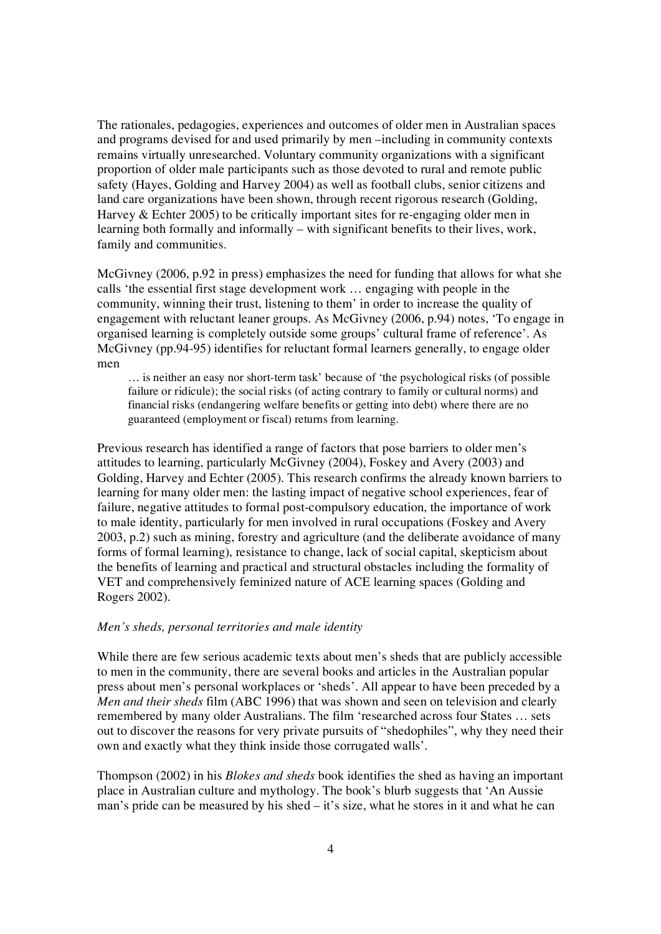The rationales, pedagogies, experiences and outcomes of older men in Australian spaces and programs devised for and used primarily by men –including in community contexts remains virtually unresearched. Voluntary community organizations with a significant proportion of older male participants such as those devoted to rural and remote public safety (Hayes, Golding and Harvey 2004) as well as football clubs, senior citizens and land care organizations have been shown, through recent rigorous research (Golding, Harvey & Echter 2005) to be critically important sites for re-engaging older men in learning both formally and informally – with significant benefits to their lives, work, family and communities.<br>McGivney (2006, p.92 in press) emphasizes the need for funding that allows for what she

calls 'the essential first stage development work … engaging with people in the community, winning their trust, listening to them' in order to increase the quality of engagement with reluctant leaner groups. As McGivney (2006, p.94) notes, 'To engage in organised learning is completely outside some groups' cultural frame of reference'. As McGivney (pp.94-95) identifies for reluctant formal learners generally, to engage older men

… is neither an easy nor short-term task' because of 'the psychological risks (of possible failure or ridicule); the social risks (of acting contrary to family or cultural norms) and financial risks (endangering welfare benefits or getting into debt) where there are no guaranteed (employment or fiscal) returns from learning.

Previous research has identified a range of factors that pose barriers to older men's attitudes to learning, particularly McGivney (2004), Foskey and Avery (2003) and Golding, Harvey and Echter (2005). This research confirms the already known barriers to learning for many older men: the lasting impact of negative school experiences, fear of failure, negative attitudes to formal post-compulsory education, the importance of work to male identity, particularly for men involved in rural occupations (Foskey and Avery 2003, p.2) such as mining, forestry and agriculture (and the deliberate avoidance of many forms of formal learning), resistance to change, lack of social capital, skepticism about the benefits of learning and practical and structural obstacles including the formality of VET and comprehensively feminized nature of ACE learning spaces (Golding and Rogers 2002).

## *Men's sheds, personal territories and male identity*

While there are few serious academic texts about men's sheds that are publicly accessible to men in the community, there are several books and articles in the Australian popular press about men's personal workplaces or 'sheds'. All appear to have been preceded by a *Men and their sheds* film (ABC 1996) that was shown and seen on television and clearly remembered by many older Australians. The film 'researched across four States … sets out to discover the reasons for very private pursuits of "shedophiles", why they need their own and exactly what they think inside those corrugated walls'.

Thompson (2002) in his *Blokes and sheds* book identifies the shed as having an important place in Australian culture and mythology. The book's blurb suggests that 'An Aussie man's pride can be measured by his shed – it's size, what he stores in it and what he can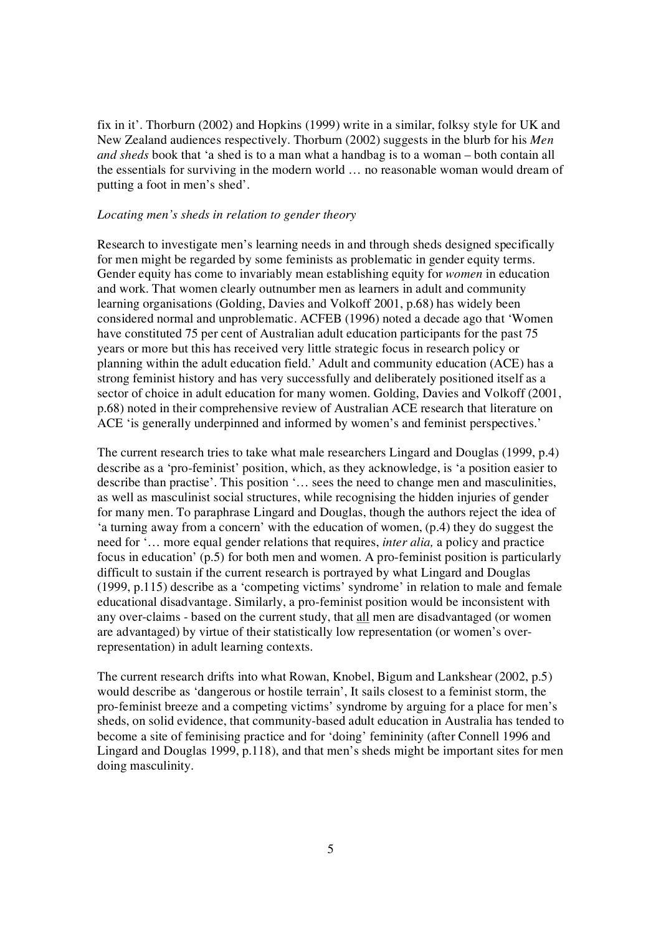fix in it'. Thorburn (2002) and Hopkins (1999) write in a similar, folksy style for UK and New Zealand audiences respectively. Thorburn (2002) suggests in the blurb for his *Men and sheds* book that 'a shed is to a man what a handbag is to a woman – both contain all the essentials for surviving in the modern world … no reasonable woman would dream of putting a foot in men's shed'.

#### *Locating men's sheds in relation to gender theory*

Research to investigate men's learning needs in and through sheds designed specifically for men might be regarded by some feminists as problematic in gender equity terms. Gender equity has come to invariably mean establishing equity for *women* in education and work. That women clearly outnumber men as learners in adult and community learning organisations (Golding, Davies and Volkoff 2001, p.68) has widely been considered normal and unproblematic. ACFEB (1996) noted a decade ago that 'Women have constituted 75 per cent of Australian adult education participants for the past 75 years or more but this has received very little strategic focus in research policy or planning within the adult education field.' Adult and community education (ACE) has a strong feminist history and has very successfully and deliberately positioned itself as a sector of choice in adult education for many women. Golding, Davies and Volkoff (2001, p.68) noted in their comprehensive review of Australian ACE research that literature on ACE 'is generally underpinned and informed by women's and feminist perspectives.'

The current research tries to take what male researchers Lingard and Douglas (1999, p.4) describe as a 'pro-feminist' position, which, as they acknowledge, is 'a position easier to describe than practise'. This position '... sees the need to change men and masculinities, as well as masculinist social structures, while recognising the hidden injuries of gender for many men. To paraphrase Lingard and Douglas, though the authors reject the idea of 'a turning away from a concern' with the education of women, (p.4) they do suggest the need for '… more equal gender relations that requires, *inter alia,* a policy and practice focus in education' (p.5) for both men and women. A pro-feminist position is particularly difficult to sustain if the current research is portrayed by what Lingard and Douglas (1999, p.115) describe as a 'competing victims' syndrome' in relation to male and female educational disadvantage. Similarly, a pro-feminist position would be inconsistent with any over-claims - based on the current study, that all men are disadvantaged (or women are advantaged) by virtue of their statistically low representation (or women's overrepresentation) in adult learning contexts.

The current research drifts into what Rowan, Knobel, Bigum and Lankshear (2002, p.5) would describe as 'dangerous or hostile terrain', It sails closest to a feminist storm, the pro-feminist breeze and a competing victims' syndrome by arguing for a place for men's sheds, on solid evidence, that community-based adult education in Australia has tended to become a site of feminising practice and for 'doing' femininity (after Connell 1996 and Lingard and Douglas 1999, p.118), and that men's sheds might be important sites for men doing masculinity.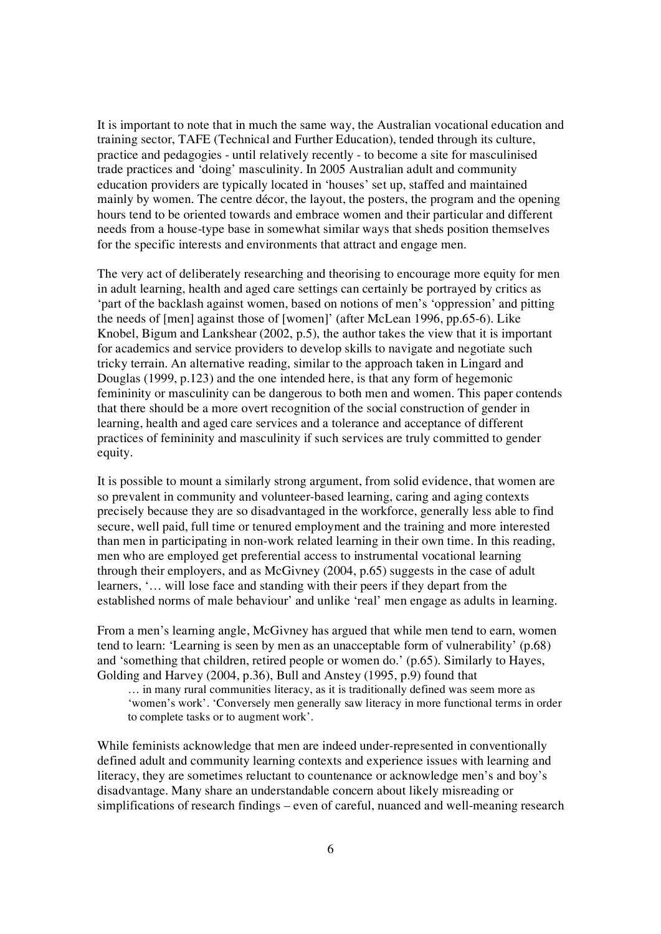It is important to note that in much the same way, the Australian vocational education and training sector, TAFE (Technical and Further Education), tended through its culture, practice and pedagogies - until relatively recently - to become a site for masculinised trade practices and 'doing' masculinity. In 2005 Australian adult and community education providers are typically located in 'houses' set up, staffed and maintained mainly by women. The centre décor, the layout, the posters, the program and the opening hours tend to be oriented towards and embrace women and their particular and different needs from a house-type base in somewhat similar ways that sheds position themselves for the specific interests and environments that attract and engage men.

The very act of deliberately researching and theorising to encourage more equity for men in adult learning, health and aged care settings can certainly be portrayed by critics as 'part of the backlash against women, based on notions of men's 'oppression' and pitting the needs of [men] against those of [women]' (after McLean 1996, pp.65-6). Like Knobel, Bigum and Lankshear (2002, p.5), the author takes the view that it is important for academics and service providers to develop skills to navigate and negotiate such tricky terrain. An alternative reading, similar to the approach taken in Lingard and Douglas (1999, p.123) and the one intended here, is that any form of hegemonic femininity or masculinity can be dangerous to both men and women. This paper contends that there should be a more overt recognition of the social construction of gender in learning, health and aged care services and a tolerance and acceptance of different practices of femininity and masculinity if such services are truly committed to gender equity.

It is possible to mount a similarly strong argument, from solid evidence, that women are so prevalent in community and volunteer-based learning, caring and aging contexts precisely because they are so disadvantaged in the workforce, generally less able to find secure, well paid, full time or tenured employment and the training and more interested than men in participating in non-work related learning in their own time. In this reading, men who are employed get preferential access to instrumental vocational learning through their employers, and as McGivney (2004, p.65) suggests in the case of adult learners, '… will lose face and standing with their peers if they depart from the established norms of male behaviour' and unlike 'real' men engage as adults in learning.

From a men's learning angle, McGivney has argued that while men tend to earn, women tend to learn: 'Learning is seen by men as an unacceptable form of vulnerability' (p.68) and 'something that children, retired people or women do.' (p.65). Similarly to Hayes, Golding and Harvey (2004, p.36), Bull and Anstey (1995, p.9) found that

… in many rural communities literacy, as it is traditionally defined was seem more as 'women's work'. 'Conversely men generally saw literacy in more functional terms in order to complete tasks or to augment work'.

While feminists acknowledge that men are indeed under-represented in conventionally defined adult and community learning contexts and experience issues with learning and literacy, they are sometimes reluctant to countenance or acknowledge men's and boy's disadvantage. Many share an understandable concern about likely misreading or simplifications of research findings – even of careful, nuanced and well-meaning research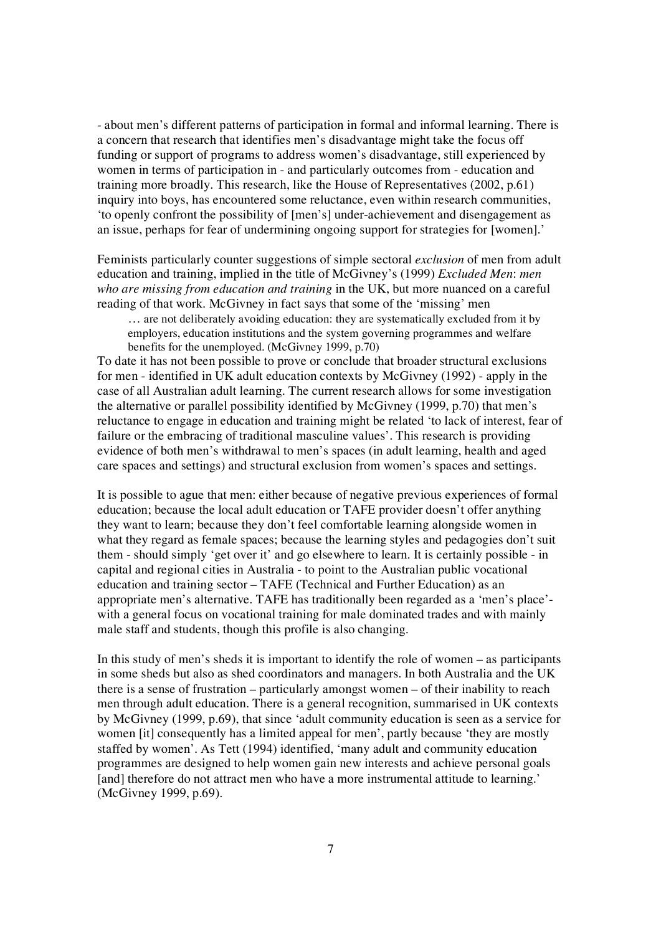- about men's different patterns of participation in formal and informal learning. There is a concern that research that identifies men's disadvantage might take the focus off funding or support of programs to address women's disadvantage, still experienced by women in terms of participation in - and particularly outcomes from - education and training more broadly. This research, like the House of Representatives (2002, p.61) inquiry into boys, has encountered some reluctance, even within research communities, 'to openly confront the possibility of [men's] under-achievement and disengagement as an issue, perhaps for fear of undermining ongoing support for strategies for [women].'

Feminists particularly counter suggestions of simple sectoral *exclusion* of men from adult education and training, implied in the title of McGivney's (1999) *Excluded Men*: *men who are missing from education and training* in the UK, but more nuanced on a careful reading of that work. McGivney in fact says that some of the 'missing' men<br>
… are not deliberately avoiding education: they are systematically excluded from it by

employers, education institutions and the system governing programmes and welfare benefits for the unemployed. (McGivney 1999, p.70)

To date it has not been possible to prove or conclude that broader structural exclusions for men - identified in UK adult education contexts by McGivney (1992) - apply in the case of all Australian adult learning. The current research allows for some investigation the alternative or parallel possibility identified by McGivney (1999, p.70) that men's reluctance to engage in education and training might be related 'to lack of interest, fear of failure or the embracing of traditional masculine values'. This research is providing evidence of both men's withdrawal to men's spaces (in adult learning, health and aged care spaces and settings) and structural exclusion from women's spaces and settings.

It is possible to ague that men: either because of negative previous experiences of formal education; because the local adult education or TAFE provider doesn't offer anything they want to learn; because they don't feel comfortable learning alongside women in what they regard as female spaces; because the learning styles and pedagogies don't suit them - should simply 'get over it' and go elsewhere to learn. It is certainly possible - in capital and regional cities in Australia - to point to the Australian public vocational education and training sector – TAFE (Technical and Further Education) as an appropriate men's alternative. TAFE has traditionally been regarded as a 'men's place' with a general focus on vocational training for male dominated trades and with mainly male staff and students, though this profile is also changing.

In this study of men's sheds it is important to identify the role of women – as participants in some sheds but also as shed coordinators and managers. In both Australia and the UK there is a sense of frustration – particularly amongst women – of their inability to reach men through adult education. There is a general recognition, summarised in UK contexts by McGivney (1999, p.69), that since 'adult community education is seen as a service for women [it] consequently has a limited appeal for men', partly because 'they are mostly staffed by women'. As Tett (1994) identified, 'many adult and community education programmes are designed to help women gain new interests and achieve personal goals [and] therefore do not attract men who have a more instrumental attitude to learning.' (McGivney 1999, p.69).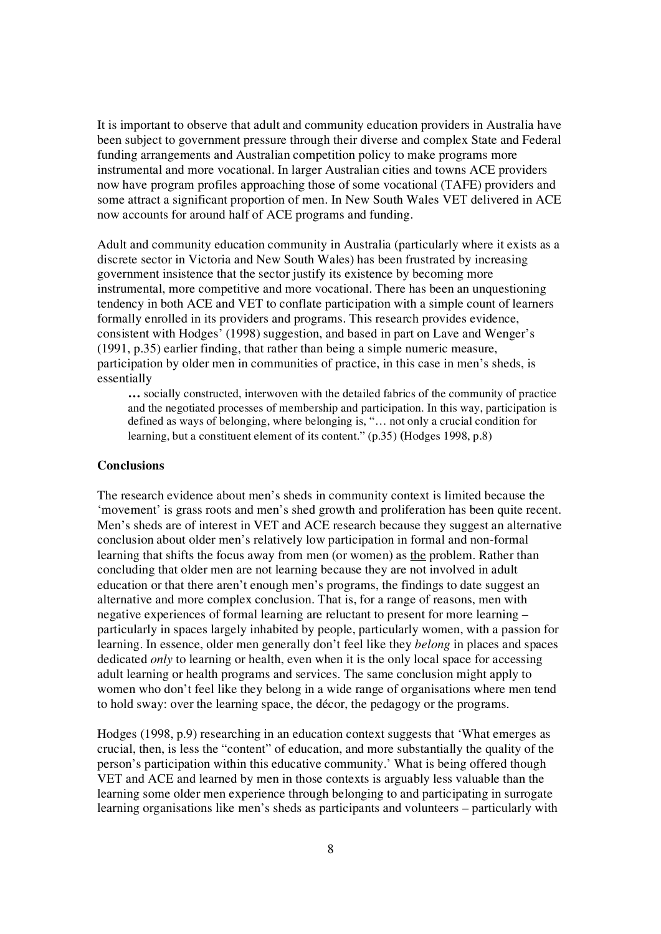It is important to observe that adult and community education providers in Australia have been subject to government pressure through their diverse and complex State and Federal funding arrangements and Australian competition policy to make programs more instrumental and more vocational. In larger Australian cities and towns ACE providers now have program profiles approaching those of some vocational (TAFE) providers and some attract a significant proportion of men. In New South Wales VET delivered in ACE now accounts for around half of ACE programs and funding.

Adult and community education community in Australia (particularly where it exists as a discrete sector in Victoria and New South Wales) has been frustrated by increasing government insistence that the sector justify its existence by becoming more instrumental, more competitive and more vocational. There has been an unquestioning tendency in both ACE and VET to conflate participation with a simple count of learners formally enrolled in its providers and programs. This research provides evidence, consistent with Hodges' (1998) suggestion, and based in part on Lave and Wenger's (1991, p.35) earlier finding, that rather than being a simple numeric measure, participation by older men in communities of practice, in this case in men's sheds, is essentially

**…** socially constructed, interwoven with the detailed fabrics of the community of practice and the negotiated processes of membership and participation. In this way, participation is defined as ways of belonging, where belonging is, "… not only a crucial condition for learning, but a constituent element of its content." (p.35) **(**Hodges 1998, p.8)

#### **Conclusions**

The research evidence about men's sheds in community context is limited because the 'movement' is grass roots and men's shed growth and proliferation has been quite recent. Men's sheds are of interest in VET and ACE research because they suggest an alternative conclusion about older men's relatively low participation in formal and non-formal learning that shifts the focus away from men (or women) as the problem. Rather than concluding that older men are not learning because they are not involved in adult education or that there aren't enough men's programs, the findings to date suggest an alternative and more complex conclusion. That is, for a range of reasons, men with negative experiences of formal learning are reluctant to present for more learning – particularly in spaces largely inhabited by people, particularly women, with a passion for learning. In essence, older men generally don't feel like they *belong* in places and spaces dedicated *only* to learning or health, even when it is the only local space for accessing adult learning or health programs and services. The same conclusion might apply to women who don't feel like they belong in a wide range of organisations where men tend to hold sway: over the learning space, the décor, the pedagogy or the programs.

Hodges (1998, p.9) researching in an education context suggests that 'What emerges as crucial, then, is less the "content" of education, and more substantially the quality of the person's participation within this educative community.' What is being offered though VET and ACE and learned by men in those contexts is arguably less valuable than the learning some older men experience through belonging to and participating in surrogate learning organisations like men's sheds as participants and volunteers – particularly with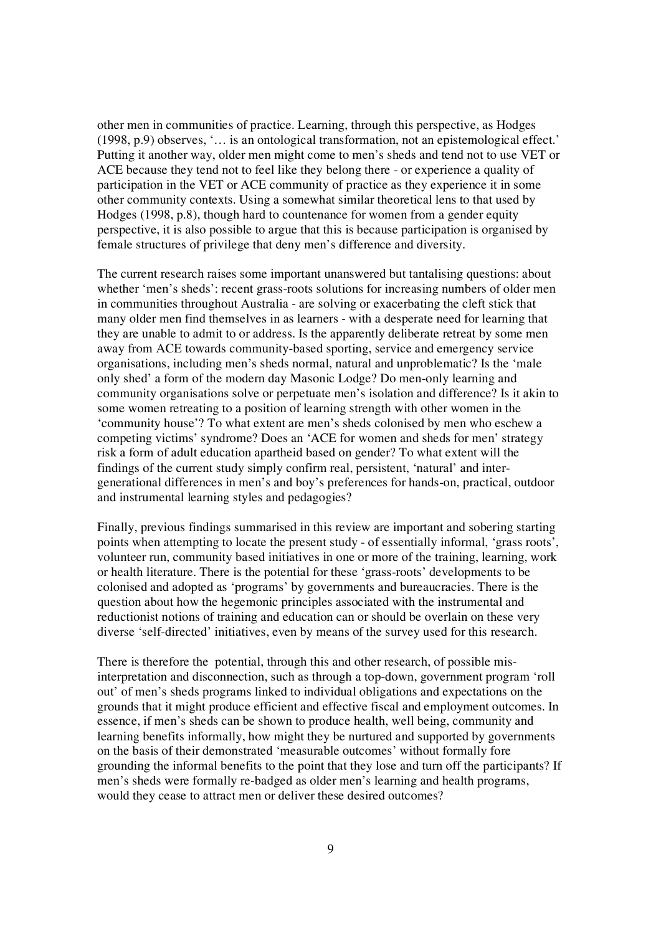other men in communities of practice. Learning, through this perspective, as Hodges (1998, p.9) observes, '… is an ontological transformation, not an epistemological effect.' Putting it another way, older men might come to men's sheds and tend not to use VET or ACE because they tend not to feel like they belong there - or experience a quality of participation in the VET or ACE community of practice as they experience it in some other community contexts. Using a somewhat similar theoretical lens to that used by Hodges (1998, p.8), though hard to countenance for women from a gender equity perspective, it is also possible to argue that this is because participation is organised by female structures of privilege that deny men's difference and diversity.

The current research raises some important unanswered but tantalising questions: about whether 'men's sheds': recent grass-roots solutions for increasing numbers of older men in communities throughout Australia - are solving or exacerbating the cleft stick that many older men find themselves in as learners - with a desperate need for learning that they are unable to admit to or address. Is the apparently deliberate retreat by some men away from ACE towards community-based sporting, service and emergency service organisations, including men's sheds normal, natural and unproblematic? Is the 'male only shed' a form of the modern day Masonic Lodge? Do men-only learning and community organisations solve or perpetuate men's isolation and difference? Is it akin to some women retreating to a position of learning strength with other women in the 'community house'? To what extent are men's sheds colonised by men who eschew a competing victims' syndrome? Does an 'ACE for women and sheds for men' strategy risk a form of adult education apartheid based on gender? To what extent will the findings of the current study simply confirm real, persistent, 'natural' and intergenerational differences in men's and boy's preferences for hands-on, practical, outdoor and instrumental learning styles and pedagogies?

Finally, previous findings summarised in this review are important and sobering starting points when attempting to locate the present study - of essentially informal, 'grass roots', volunteer run, community based initiatives in one or more of the training, learning, work or health literature. There is the potential for these 'grass-roots' developments to be colonised and adopted as 'programs' by governments and bureaucracies. There is the question about how the hegemonic principles associated with the instrumental and reductionist notions of training and education can or should be overlain on these very diverse 'self-directed' initiatives, even by means of the survey used for this research.

There is therefore the potential, through this and other research, of possible misinterpretation and disconnection, such as through a top-down, government program 'roll out' of men's sheds programs linked to individual obligations and expectations on the grounds that it might produce efficient and effective fiscal and employment outcomes. In essence, if men's sheds can be shown to produce health, well being, community and learning benefits informally, how might they be nurtured and supported by governments on the basis of their demonstrated 'measurable outcomes' without formally fore grounding the informal benefits to the point that they lose and turn off the participants? If men's sheds were formally re-badged as older men's learning and health programs, would they cease to attract men or deliver these desired outcomes?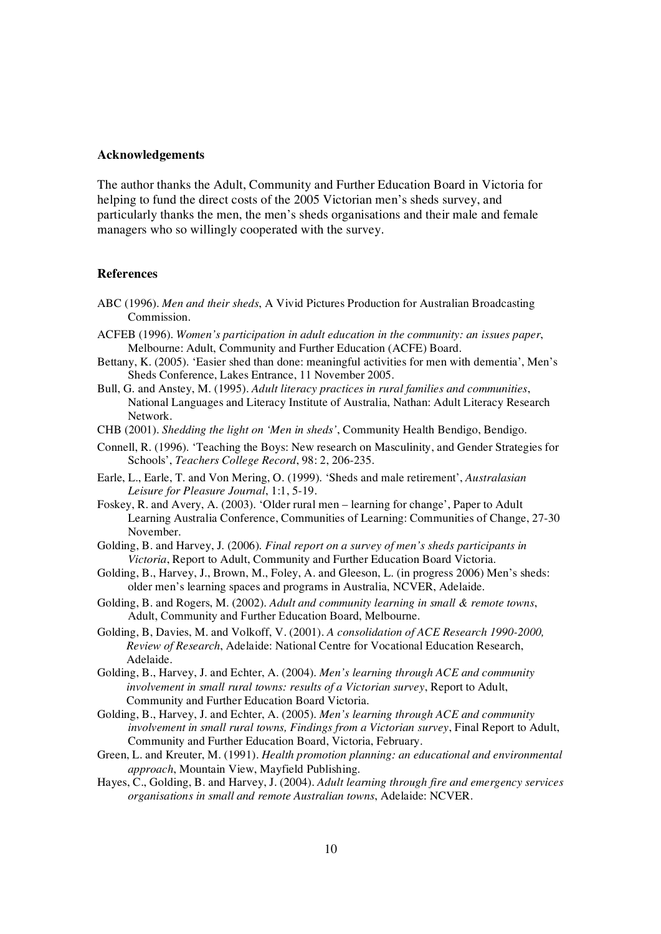## **Acknowledgements**

The author thanks the Adult, Community and Further Education Board in Victoria for helping to fund the direct costs of the 2005 Victorian men's sheds survey, and particularly thanks the men, the men's sheds organisations and their male and female managers who so willingly cooperated with the survey.

#### **References**

- ABC (1996). *Men and their sheds*, A Vivid Pictures Production for Australian Broadcasting
- Commission.<br>
ACFEB (1996). Women's participation in adult education in the community: an issues paper,<br>
Melbourne: Adult, Community and Further Education (ACFE) Board.<br>
Bettany, K. (2005). 'Easier shed than done: meaningfu
- 
- Bull, G. and Anstey, M. (1995). Adult literacy practices in rural families and communities,<br>National Languages and Literacy Institute of Australia, Nathan: Adult Literacy Research Network. CHB (2001). *Shedding the light on 'Men in sheds'*, Community Health Bendigo, Bendigo.
- 
- Connell, R. (1996). 'Teaching the Boys: New research on Masculinity, and Gender Strategies for Schools', *Teachers College Record*, 98: 2, 206-235. Earle, L., Earle, T. and Von Mering, O. (1999). 'Sheds and male retirement', *Australasian*
- *Leisure for Pleasure Journal*, 1:1, 5-19. Foskey, R. and Avery, A. (2003). 'Older rural men learning for change', Paper to Adult
- Learning Australia Conference, Communities of Learning: Communities of Change, 27-30 November. Golding, B. and Harvey, J. (2006). *Final report on a survey of men's sheds participants in*
- *Victoria*, Report to Adult, Community and Further Education Board Victoria.
- Golding, B., Harvey, J., Brown, M., Foley, A. and Gleeson, L. (in progress 2006) Men's sheds: older men's learning spaces and programs in Australia, NCVER, Adelaide. Golding, B. and Rogers, M. (2002). *Adult and community learning in small & remote towns*,
- Adult, Community and Further Education Board, Melbourne. Golding, B, Davies, M. and Volkoff, V. (2001). *<sup>A</sup> consolidation of ACE Research 1990-2000,*
- *Review of Research*, Adelaide: National Centre for Vocational Education Research, Adelaide. Golding, B., Harvey, J. and Echter, A. (2004). *Men's learning through ACE and community*
- *involvement in small rural towns: results of a Victorian survey*, Report to Adult, Community and Further Education Board Victoria.
- Golding, B., Harvey, J. and Echter, A. (2005). *Men's learning through ACE and community involvement in small rural towns, Findings from a Victorian survey*, Final Report to Adult, Community and Further Education Board, Victoria, February. Green, L. and Kreuter, M. (1991). *Health promotion planning: an educational and environmental*
- *approach*, Mountain View, Mayfield Publishing.
- Hayes, C., Golding, B. and Harvey, J. (2004). *Adult learning through fire and emergency services organisations in small and remote Australian towns*, Adelaide: NCVER.